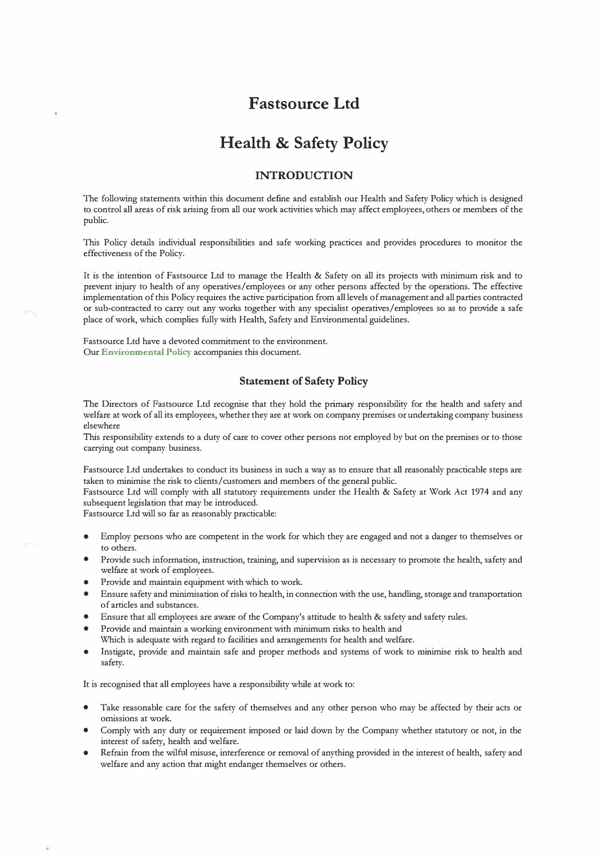# **Fastsource Ltd**

# **Health & Safety Policy**

# **INTRODUCTION**

The following statements within this document define and establish our Health and Safety Policy which is designed to control all areas of risk arising from all our work activities which may affect employees, others or members of the public.

This Policy details individual responsibilities and safe working practices and provides procedures to monitor the effectiveness of the Policy.

It is the intention of Fastsource Ltd to manage the Health & Safety on all its projects with minimum risk and to prevent injury to health of any operatives/employees or any other persons affected by the operations. The effective implementation of this Policy requires the active participation from all levels of management and all parties contracted or sub-contracted to carry out any works together with any specialist operatives/employees so as to provide a safe place of work, which complies fully with Health, Safety and Environmental guidelines.

Fastsource Ltd have a devoted commitment to the environment. Our **Environmental Policy** accompanies this document.

### **Statement of Safety Policy**

The Directors of Fastsource Ltd recognise that they hold the primary responsibility for the health and safety and welfare at work of all its employees, whether they are at work on company premises or undertaking company business elsewhere

This responsibility extends to a duty of care to cover other persons not employed by but on the premises or to those carrying out company business.

Fastsource Ltd undertakes to conduct its business in such a way as to ensure that all reasonably practicable steps are taken to minimise the risk to clients/ customers and members of the general public.

Fastsource Ltd will comply with all statutory requirements under the Health & Safety at Work Act 1974 and any subsequent legislation that may be introduced.

Fastsource Ltd will so far as reasonably practicable:

- Employ persons who are competent in the work for which they are engaged and not a danger to themselves or to others.
- Provide such information, instruction, training, and supervision as is necessary to promote the health, safety and welfare at work of employees.
- Provide and maintain equipment with which to work.
- Ensure safety and minimisation of risks to health, in connection with the use, handling, storage and transportation of articles and substances.
- Ensure that all employees are aware of the Company's attitude to health & safety and safety rules.
- Provide and maintain a working environment with minimum risks to health and Which is adequate with regard to facilities and arrangements for health and welfare.
- Instigate, provide and maintain safe and proper methods and systems of work to minimise risk to health and safety.

It is recognised that all employees have a responsibility while at work to:

- Take reasonable care for the safety of themselves and any other person who may be affected by their acts or omissions at work.
- Comply with any duty or requirement imposed or laid down by the Company whether statutory or not, in the interest of safety, health and welfare.
- Refrain from the wilful misuse, interference or removal of anything provided in the interest of health, safety and welfare and any action that might endanger themselves or others.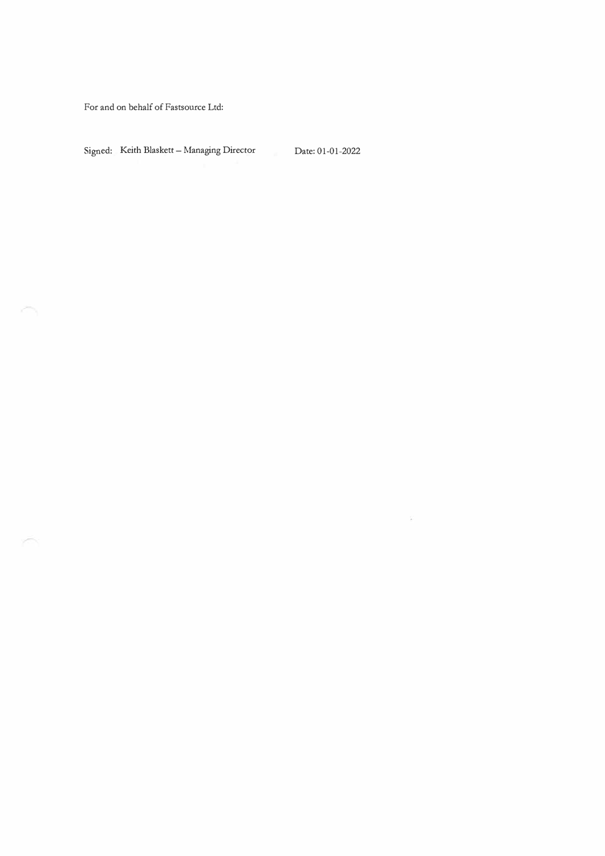For and on behalf of Fastsource Ltd:

 $\mathcal{L}^{\text{max}}$ 

i S

Signed: Keith Blaskett - Managing Director Date: 01-01-2022

 $\widetilde{E}$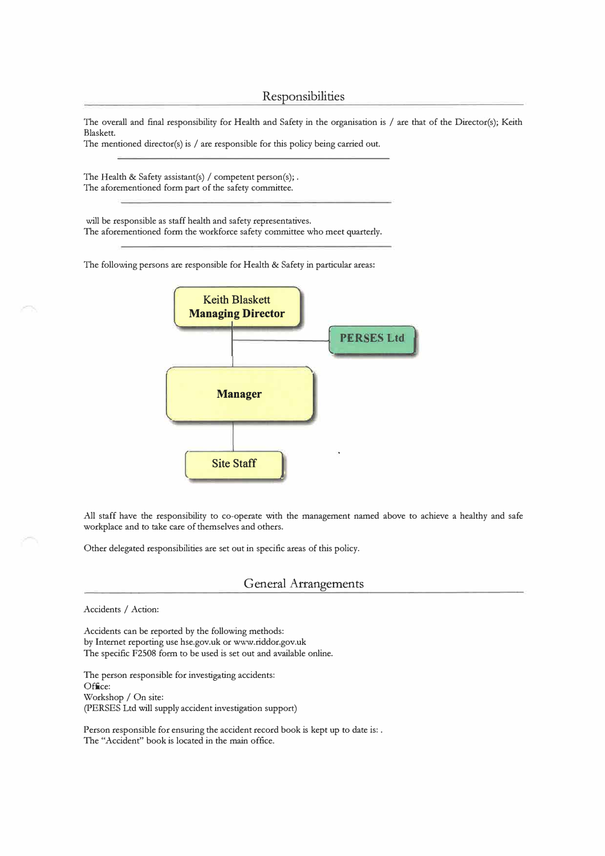The overall and final responsibility for Health and Safety in the organisation is / are that of the Director(s); Keith Blaskett.

The mentioned director(s) is / are responsible for this policy being carried out.

The Health & Safety assistant(s) / competent person(s); . The aforementioned form part of the safety committee.

will be responsible as staff health and safety representatives. The aforementioned form the workforce safety committee who meet quarterly.

The following persons are responsible for Health & Safety in particular areas:



All staff have the responsibility to co-operate with the management named above to achieve a healthy and safe workplace and to take care of themselves and others.

Other delegated responsibilities are set out in specific areas of this policy.

### General Arrangements

Accidents / Action:

Accidents can be reported by the following methods: by Internet reporting use hse.gov.uk or www.riddor.gov.uk The specific F2508 form to be used is set out and available online.

The person responsible for investigating accidents: Office: Workshop / On site: (PERSES Ltd will supply accident investigation support)

Person responsible for ensuring the accident record book is kept up to date is: . The "Accident" book is located in the main office.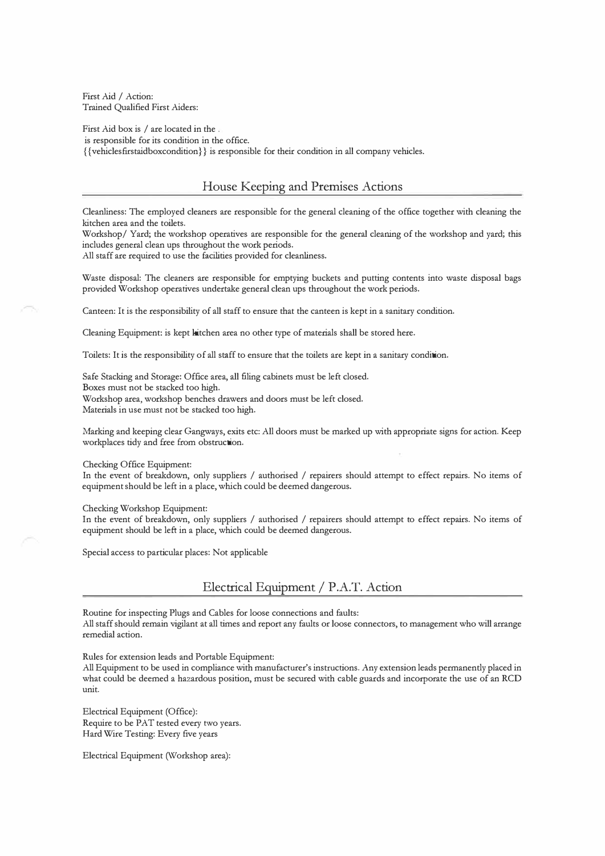First Aid / Action: Trained Qualified First Aiders:

First Aid box is / are located in the . is responsible for its condition in the office. { { vehiclesfirstaidboxcondition}} is responsible for their condition in all company vehicles.

## House Keeping and Premises Actions

Cleanliness: The employed cleaners are responsible for the general cleaning of the office together with cleaning the kitchen area and the toilets.

Workshop/ Yard; the workshop operatives are responsible for the general cleaning of the workshop and yard; this includes general clean ups throughout the work periods.

All staff are required to use the facilities provided for cleanliness.

Waste disposal: The cleaners are responsible for emptying buckets and putting contents into waste disposal bags provided Workshop operatives undertake general clean ups throughout the work periods.

Canteen: It is the responsibility of all staff to ensure that the canteen is kept in a sanitary condition.

Cleaning Equipment: is kept kitchen area no other type of materials shall be stored here.

Toilets: It is the responsibility of all staff to ensure that the toilets are kept in a sanitary condition.

Safe Stacking and Storage: Office area, all filing cabinets must be left closed. Boxes must not be stacked too high. Workshop area, workshop benches drawers and doors must be left closed. Materials in use must not be stacked too high.

Marking and keeping clear Gangways, exits etc: All doors must be marked up with appropriate signs for action. Keep workplaces tidy and free from obstruction.

Checking Office Equipment:

In the event of breakdown, only suppliers / authorised / repairers should attempt to effect repairs. No items of equipment should be left in a place, which could be deemed dangerous.

#### Checking Workshop Equipment:

In the event of breakdown, only suppliers / authorised / repairers should attempt to effect repairs. No items of equipment should be left in a place, which could be deemed dangerous.

Special access to particular places: Not applicable

Electrical Equipment/ P.A.T. Action

Routine for inspecting Plugs and Cables for loose connections and faults: All staff should remain vigilant at all times and report any faults or loose connectors, to management who will arrange remedial action.

Rules for extension leads and Portable Equipment:

All Equipment to be used in compliance with manufacturer's instructions. Any extension leads permanently placed in what could be deemed a hazardous position, must be secured with cable guards and incorporate the use of an RCD unit.

Electrical Equipment (Office): Require to be PAT tested every two years. Hard Wire Testing: Every five years

Electrical Equipment (Workshop area):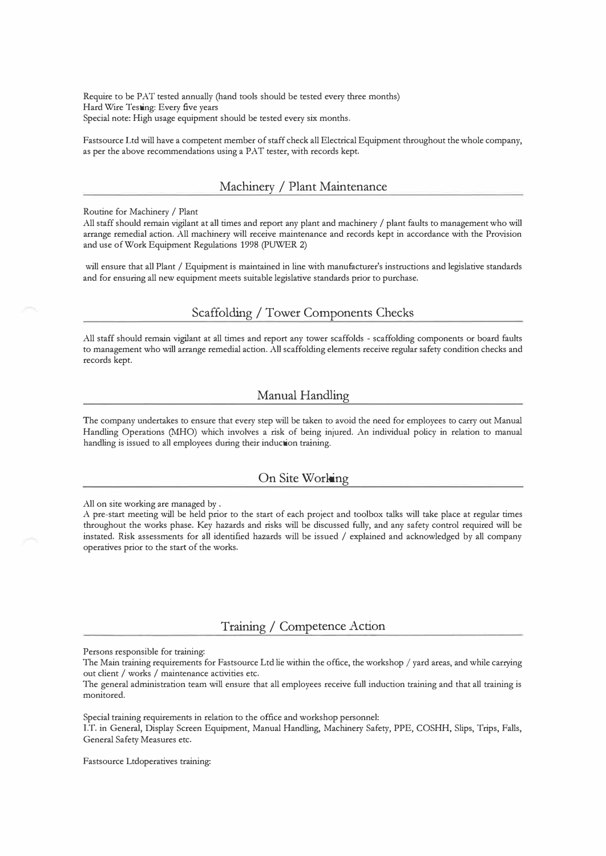Require to be PAT tested annually (hand tools should be tested every three months) Hard Wire Testing: Every five years Special note: High usage equipment should be tested every six months.

Fastsource Ltd will have a competent member of staff check all Electrical Equipment throughout the whole company, as per the above recommendations using a PAT tester, with records kept.

### Machinery / Plant Maintenance

Routine for Machinery / Plant

All staff should remain vigilant at all times and report any plant and machinery / plant faults to management who will arrange remedial action. All machinery will receive maintenance and records kept in accordance with the Provision and use of Work Equipment Regulations 1998 (PUWER 2)

will ensure that all Plant / Equipment is maintained in line with manufacturer's instructions and legislative standards and for ensuring all new equipment meets suitable legislative standards prior to purchase.

# Scaffolding/ Tower Components Checks

All staff should remain vigilant at all times and report any tower scaffolds - scaffolding components or board faults to management who will arrange remedial action. All scaffolding elements receive regular safety condition checks and records kept.

# Manual Handling

The company undertakes to ensure that every step will be taken to avoid the need for employees to carry out Manual Handling Operations (MHO) which involves a risk of being injured. An individual policy in relation to manual handling is issued to all employees during their induction training.

## On Site Working

All on site working are managed by .

A pre-start meeting will be held prior to the start of each project and toolbox talks will take place at regular times throughout the works phase. Key hazards and risks will be discussed fully, and any safety control required will be instated. Risk assessments for all identified hazards will be issued / explained and acknowledged by all company operatives prior to the start of the works.

# Training/ Competence Action

Persons responsible for training:

The Main training requirements for Fastsource Ltd lie within the office, the workshop / yard areas, and while carrying out client / works / maintenance activities etc.

The general administration team will ensure that all employees receive full induction training and that all training is monitored.

Special training requirements in relation to the office and workshop personnel:

l.T. in General, Display Screen Equipment, Manual Handling, Machinery Safety, PPE, COSHH, Slips, Trips, Falls, General Safety Measures etc.

Fastsource Ltdoperatives training: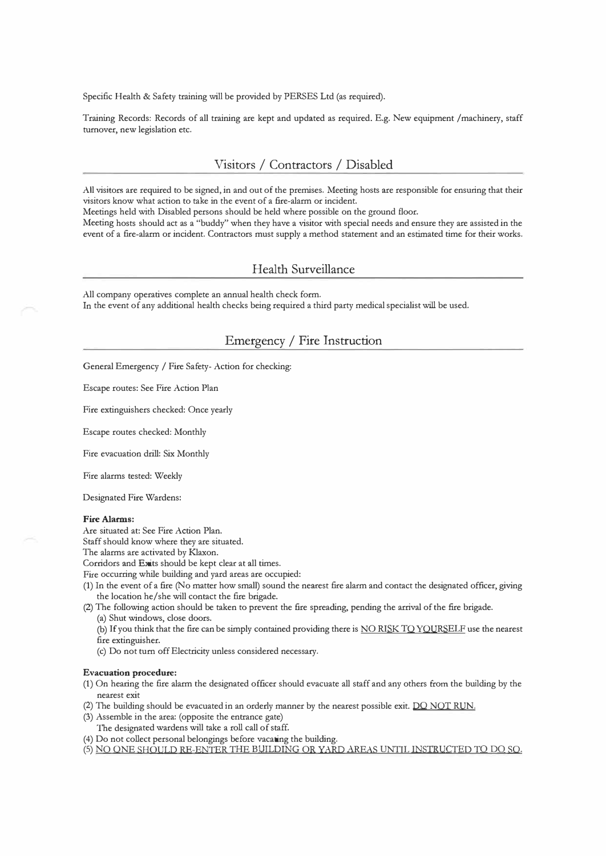Specific Health & Safety training will be provided by PERSES Ltd (as required).

Training Records: Records of all training are kept and updated as required. E.g. New equipment /machinery, staff turnover, new legislation etc.

# Visitors/ Contractors/ Disabled

All visitors are required to be signed, in and out of the premises. Meeting hosts are responsible for ensuring that their visitors know what action to take in the event of a fire-alarm or incident.

Meetings held with Disabled persons should be held where possible on the ground floor.

Meeting hosts should act as a "buddy" when they have a visitor with special needs and ensure they are assisted in the event of a fire-alarm or incident. Contractors must supply a method statement and an estimated time for their works.

### Health Surveillance

All company operatives complete an annual health check form. In the event of any additional health checks being required a third party medical specialist will be used.

# Emergency/ Fire Instruction

General Emergency / Fire Safety- Action for checking:

Escape routes: See Fire Action Plan

Fire extinguishers checked: Once yearly

Escape routes checked: Monthly

Fire evacuation drill: Six Monthly

Fire alarms tested: Weekly

Designated Fire Wardens:

#### **Fire Alarms:**

Are situated at: See Fire Action Plan.

Staff should know where they are situated.

The alarms are activated by Klaxon.

Corridors and Exits should be kept clear at all times.

Fire occurring while building and yard areas are occupied:

(1) In the event of a fire (No matter how small) sound the nearest fire alarm and contact the designated officer, giving the location he/she will contact the fire brigade.

(2) The following action should be taken to prevent the fire spreading, pending the arrival of the fire brigade. (a) Shut windows, close doors.

- (b) If you think that the fire can be simply contained providing there is NO RISK TO YOURSELF use the nearest fire extinguisher.
- (c) Do not tum off Electricity unless considered necessary.

#### **Evacuation procedure:**

- (1) On hearing the fire alarm the designated officer should evacuate all staff and any others from the building by the nearest exit
- (2) The building should be evacuated in an orderly manner by the nearest possible exit. DO NOT RUN.
- (3) Assemble in the area: (opposite the entrance gate)
	- The designated wardens will take a roll call of staff.
- (4) Do not collect personal belongings before vacating the building.
- (5) NO ONE SHOULD RE-ENTER THE BUILDING OR YARD AREAS UNTIL INSTRUCTED TO DO SO.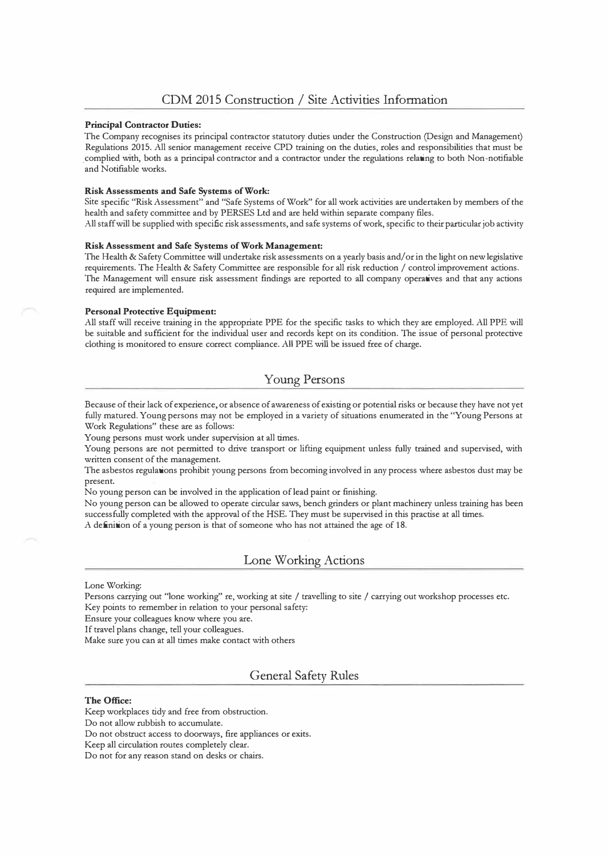#### **Principal Contractor Duties:**

The Company recognises its principal contractor statutory duties under the Construction (Design and Management) Regulations 2015. All senior management receive CPD training on the duties, roles and responsibilities that must be \_complied with, both as a principal contractor and a contractor under the regulations relating to both Non-notifiable and Notifiable works.

#### **Risk Assessments and Safe Systems of Work:**

Site specific "Risk Assessment'' and "Safe Systems of Work" for all work activities are undertaken by members of the health and safety committee and by PERSES Ltd and are held within separate company files.

All staff will be supplied with specific risk assessments, and safe systems of work, specific to their particular job activity

### **Risk Assessment and Safe Systems of Work Management:**

The Health & Safety Committee will undertake risk assessments on a yearly basis and/ or in the light on new legislative requirements. The Health & Safety Committee are responsible for all risk reduction / control improvement actions. The Management will ensure risk assessment findings are reported to all company operatives and that any actions required are implemented.

#### **Personal Protective Equipment:**

All staff will receive training in the appropriate PPE for the specific tasks to which they are employed. All PPE will be suitable and sufficient for the individual user and records kept on its condition. The issue of personal protective clothing is monitored to ensure correct compliance. All PPE will be issued free of charge.

# Young Persons

Because of their lack of experience, or absence of awareness of existing or potential risks or because they have not yet fully matured. Young persons may not be employed in a variety of situations enumerated in the ''Young Persons at Work Regulations" these are as follows:

Young persons must work under supervision at all times.

Young persons are not permitted to drive transport or lifting equipment unless fully trained and supervised, with written consent of the management.

The asbestos regulations prohibit young persons from becoming involved in any process where asbestos dust may be present.

No young person can be involved in the application of lead paint or finishing.

No young person can be allowed to operate circular saws, bench grinders or plant machinery unless training has been successfully completed with the approval of the HSE. They must be supervised in this practise at all times. A definition of a young person is that of someone who has not attained the age of 18.

# Lone Working Actions

#### Lone Working:

Persons carrying out "lone working" re, working at site / travelling to site / carrying out workshop processes etc. Key points to remember in relation to your personal safety:

Ensure your colleagues know where you are.

If travel plans change, tell your colleagues.

Make sure you can at all times make contact with others

# General Safety Rules

#### **The Office:**

Keep workplaces tidy and free from obstruction.

Do not allow rubbish to accumulate.

Do not obstruct access to doorways, fire appliances or exits.

Keep all circulation routes completely clear.

Do not for any reason stand on desks or chairs.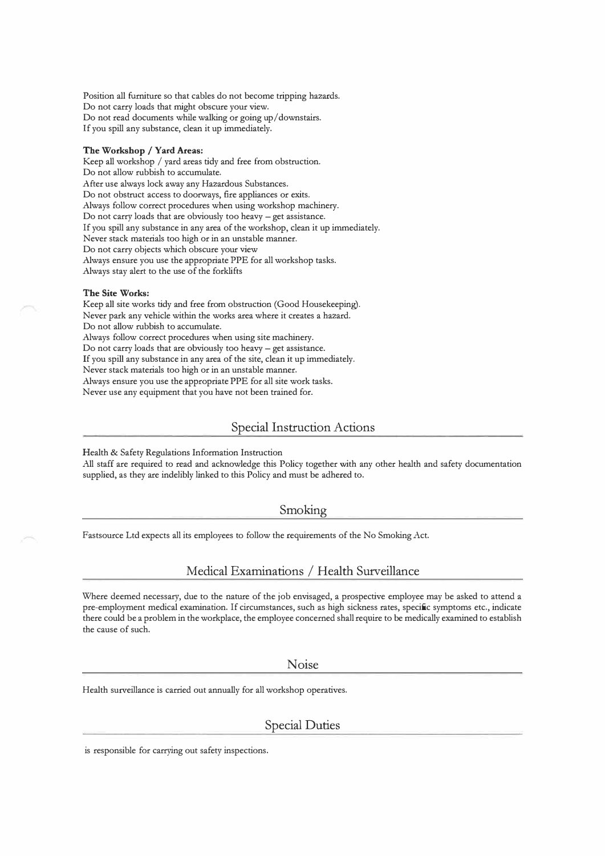Position all furniture so that cables do not become tripping hazards. Do not carry loads that might obscure your view. Do not read documents while walking or going up/ downstairs. If you spill any substance, clean it up immediately.

#### **The Workshop / Yard Areas:**

Keep all workshop / yard areas tidy and free from obstruction. Do not allow rubbish to accumulate. After use always lock away any Hazardous Substances. Do not obstruct access to doorways, fire appliances or exits. Always follow correct procedures when using workshop machinery. Do not carry loads that are obviously too heavy - get assistance. If you spill any substance in any area of the workshop, clean it up immediately. Never stack materials too high or in an unstable manner. Do not carry objects which obscure your view Always ensure you use the appropriate PPE for all workshop tasks. Always stay alert to the use of the forklifts

#### **The Site Works:**

Keep all site works tidy and free from obstruction (Good Housekeeping). Never park any vehicle within the works area where it creates a hazard. Do not allow rubbish to accumulate. Always follow correct procedures when using site machinery. Do not carry loads that are obviously too heavy - get assistance. If you spill any substance in any area of the site, clean it up immediately. Never stack materials too high or in an unstable manner. Always ensure you use the appropriate PPE for all site work tasks. Never use any equipment that you have not been trained for.

### Special Instruction Actions

Health & Safety Regulations Information Instruction

All staff are required to read and acknowledge this Policy together with any other health and safety documentation supplied, as they are indelibly linked to this Policy and must be adhered to.

#### Smoking

Fastsource Ltd expects all its employees to follow the requirements of the No Smoking Act.

### Medical Examinations / Health Surveillance

Where deemed necessary, due to the nature of the job envisaged, a prospective employee may be asked to attend a pre-employment medical examination. If circumstances, such as high sickness rates, specific symptoms etc., indicate there could be a problem in the workplace, the employee concerned shall require to be medically examined to establish the cause of such.

Noise

Health surveillance is carried out annually for all workshop operatives.

### Special Duties

is responsible for carrying out safety inspections.